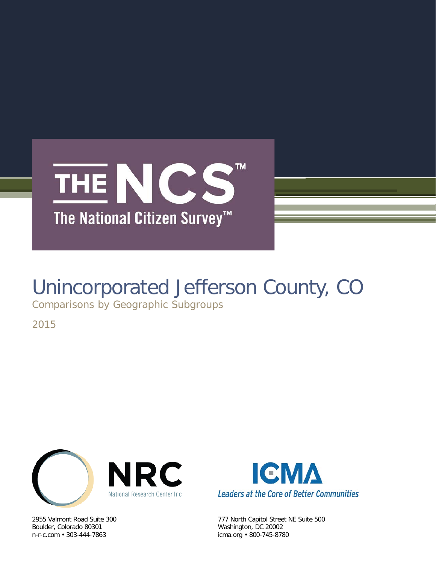

# Unincorporated Jefferson County, CO

Comparisons by Geographic Subgroups

2015



Boulder, Colorado 80301 Washington, DC 20002<br>
n-r-c.com • 303-444-7863 (icma.org • 800-745-878



2955 Valmont Road Suite 300 777 North Capitol Street NE Suite 500 icma.org • 800-745-8780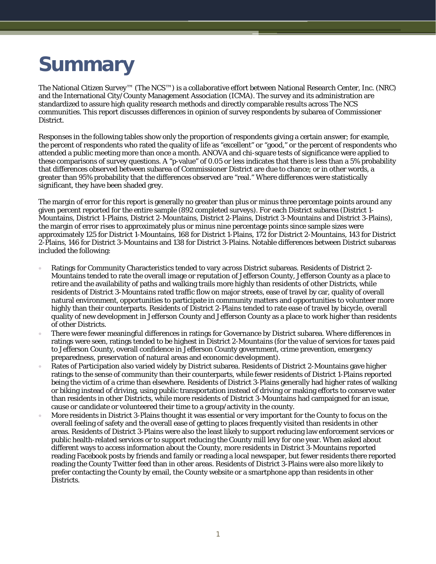# **Summary**

The National Citizen Survey™ (The NCS™) is a collaborative effort between National Research Center, Inc. (NRC) and the International City/County Management Association (ICMA). The survey and its administration are standardized to assure high quality research methods and directly comparable results across The NCS communities. This report discusses differences in opinion of survey respondents by subarea of Commissioner District.

Responses in the following tables show only the proportion of respondents giving a certain answer; for example, the percent of respondents who rated the quality of life as "excellent" or "good," or the percent of respondents who attended a public meeting more than once a month. ANOVA and chi-square tests of significance were applied to these comparisons of survey questions. A "p-value" of 0.05 or less indicates that there is less than a 5% probability that differences observed between subarea of Commissioner District are due to chance; or in other words, a greater than 95% probability that the differences observed are "real." Where differences were statistically significant, they have been shaded grey.

The margin of error for this report is generally no greater than plus or minus three percentage points around any given percent reported for the entire sample (892 completed surveys). For each District subarea (District 1- Mountains, District 1-Plains, District 2-Mountains, District 2-Plains, District 3-Mountains and District 3-Plains), the margin of error rises to approximately plus or minus nine percentage points since sample sizes were approximately 125 for District 1-Mountains, 168 for District 1-Plains, 172 for District 2-Mountains, 143 for District 2-Plains, 146 for District 3-Mountains and 138 for District 3-Plains. Notable differences between District subareas included the following:

- Ratings for Community Characteristics tended to vary across District subareas. Residents of District 2- Mountains tended to rate the overall image or reputation of Jefferson County, Jefferson County as a place to retire and the availability of paths and walking trails more highly than residents of other Districts, while residents of District 3-Mountains rated traffic flow on major streets, ease of travel by car, quality of overall natural environment, opportunities to participate in community matters and opportunities to volunteer more highly than their counterparts. Residents of District 2-Plains tended to rate ease of travel by bicycle, overall quality of new development in Jefferson County and Jefferson County as a place to work higher than residents of other Districts.
- There were fewer meaningful differences in ratings for Governance by District subarea. Where differences in ratings were seen, ratings tended to be highest in District 2-Mountains (for the value of services for taxes paid to Jefferson County, overall confidence in Jefferson County government, crime prevention, emergency preparedness, preservation of natural areas and economic development).
- Rates of Participation also varied widely by District subarea. Residents of District 2-Mountains gave higher ratings to the sense of community than their counterparts, while fewer residents of District 1-Plains reported being the victim of a crime than elsewhere. Residents of District 3-Plains generally had higher rates of walking or biking instead of driving, using public transportation instead of driving or making efforts to conserve water than residents in other Districts, while more residents of District 3-Mountains had campaigned for an issue, cause or candidate or volunteered their time to a group/activity in the county.
- More residents in District 3-Plains thought it was essential or very important for the County to focus on the overall feeling of safety and the overall ease of getting to places frequently visited than residents in other areas. Residents of District 3-Plains were also the least likely to support reducing law enforcement services or public health-related services or to support reducing the County mill levy for one year. When asked about different ways to access information about the County, more residents in District 3-Mountains reported reading Facebook posts by friends and family or reading a local newspaper, but fewer residents there reported reading the County Twitter feed than in other areas. Residents of District 3-Plains were also more likely to prefer contacting the County by email, the County website or a smartphone app than residents in other Districts.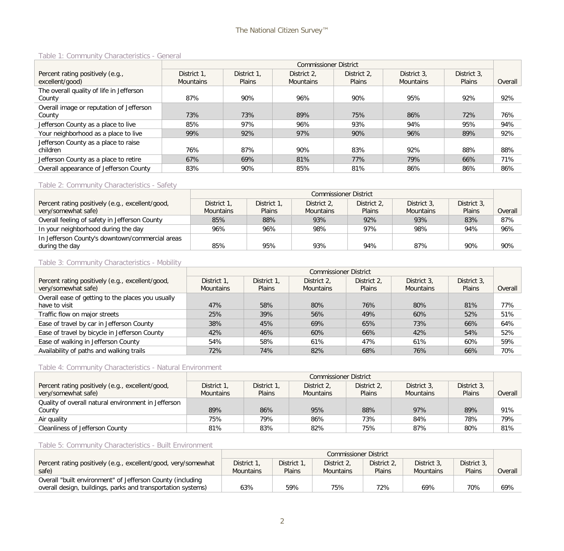#### Table 1: Community Characteristics - General

|                                          | <b>Commissioner District</b> |             |                  |               |                  |               |         |  |  |
|------------------------------------------|------------------------------|-------------|------------------|---------------|------------------|---------------|---------|--|--|
| Percent rating positively (e.g.,         | District 1.                  | District 1. | District 2.      | District 2.   | District 3.      | District 3.   |         |  |  |
| excellent/good)                          | <b>Mountains</b>             | Plains      | <b>Mountains</b> | <b>Plains</b> | <b>Mountains</b> | <b>Plains</b> | Overall |  |  |
| The overall quality of life in Jefferson |                              |             |                  |               |                  |               |         |  |  |
| County                                   | 87%                          | 90%         | 96%              | 90%           | 95%              | 92%           | 92%     |  |  |
| Overall image or reputation of Jefferson |                              |             |                  |               |                  |               |         |  |  |
| County                                   | 73%                          | 73%         | 89%              | 75%           | 86%              | 72%           | 76%     |  |  |
| Jefferson County as a place to live      | 85%                          | 97%         | 96%              | 93%           | 94%              | 95%           | 94%     |  |  |
| Your neighborhood as a place to live     | 99%                          | 92%         | 97%              | 90%           | 96%              | 89%           | 92%     |  |  |
| Jefferson County as a place to raise     |                              |             |                  |               |                  |               |         |  |  |
| children                                 | 76%                          | 87%         | 90%              | 83%           | 92%              | 88%           | 88%     |  |  |
| Jefferson County as a place to retire    | 67%                          | 69%         | 81%              | 77%           | 79%              | 66%           | 71%     |  |  |
| Overall appearance of Jefferson County   | 83%                          | 90%         | 85%              | 81%           | 86%              | 86%           | 86%     |  |  |

# Table 2: Community Characteristics - Safety

|                                                  |                  | <b>Commissioner District</b> |                  |               |                  |             |         |  |  |  |
|--------------------------------------------------|------------------|------------------------------|------------------|---------------|------------------|-------------|---------|--|--|--|
| Percent rating positively (e.g., excellent/good, | District 1.      | District 1,                  | District 2.      | District 2.   | District 3.      | District 3, |         |  |  |  |
| very/somewhat safe)                              | <b>Mountains</b> | <b>Plains</b>                | <b>Mountains</b> | <b>Plains</b> | <b>Mountains</b> | Plains      | Overall |  |  |  |
| Overall feeling of safety in Jefferson County    | 85%              | 88%                          | 93%              | 92%           | 93%              | 83%         | 87%     |  |  |  |
| In your neighborhood during the day              | 96%              | 96%                          | 98%              | 97%           | 98%              | 94%         | 96%     |  |  |  |
| In Jefferson County's downtown/commercial areas  |                  |                              |                  |               |                  |             |         |  |  |  |
| during the day                                   | 85%              | 95%                          | 93%              | 94%           | 87%              | 90%         | 90%     |  |  |  |

#### Table 3: Community Characteristics - Mobility

|                                                   |                  | <b>Commissioner District</b> |                  |             |                  |             |         |  |  |  |  |
|---------------------------------------------------|------------------|------------------------------|------------------|-------------|------------------|-------------|---------|--|--|--|--|
| Percent rating positively (e.g., excellent/good,  | District 1.      | District 1.                  | District 2.      | District 2. | District 3.      | District 3. |         |  |  |  |  |
| very/somewhat safe)                               | <b>Mountains</b> | <b>Plains</b>                | <b>Mountains</b> | Plains      | <b>Mountains</b> | Plains      | Overall |  |  |  |  |
| Overall ease of getting to the places you usually |                  |                              |                  |             |                  |             |         |  |  |  |  |
| have to visit                                     | 47%              | 58%                          | 80%              | 76%         | 80%              | 81%         | 77%     |  |  |  |  |
| Traffic flow on major streets                     | 25%              | 39%                          | 56%              | 49%         | 60%              | 52%         | 51%     |  |  |  |  |
| Ease of travel by car in Jefferson County         | 38%              | 45%                          | 69%              | 65%         | 73%              | 66%         | 64%     |  |  |  |  |
| Ease of travel by bicycle in Jefferson County     | 42%              | 46%                          | 60%              | 66%         | 42%              | 54%         | 52%     |  |  |  |  |
| Ease of walking in Jefferson County               | 54%              | 58%                          | 61%              | 47%         | 61%              | 60%         | 59%     |  |  |  |  |
| Availability of paths and walking trails          | 72%              | 74%                          | 82%              | 68%         | 76%              | 66%         | 70%     |  |  |  |  |

### Table 4: Community Characteristics - Natural Environment

|                                                     |                  | <b>Commissioner District</b> |                  |             |                  |             |         |  |  |  |
|-----------------------------------------------------|------------------|------------------------------|------------------|-------------|------------------|-------------|---------|--|--|--|
| Percent rating positively (e.g., excellent/good,    | District 1.      | District 1.                  | District 2,      | District 2. | District 3.      | District 3, |         |  |  |  |
| very/somewhat safe)                                 | <b>Mountains</b> | Plains                       | <b>Mountains</b> | Plains      | <b>Mountains</b> | Plains      | Overall |  |  |  |
| Quality of overall natural environment in Jefferson |                  |                              |                  |             |                  |             |         |  |  |  |
| County                                              | 89%              | 86%                          | 95%              | 88%         | 97%              | 89%         | 91%     |  |  |  |
| Air quality                                         | 75%              | 79%                          | 86%              | 73%         | 84%              | 78%         | 79%     |  |  |  |
| Cleanliness of Jefferson County                     | 81%              | 83%                          | 82%              | 75%         | 87%              | 80%         | 81%     |  |  |  |

# Table 5: Community Characteristics - Built Environment

|                                                                |                  | <b>Commissioner District</b> |                  |             |                  |             |         |  |  |  |
|----------------------------------------------------------------|------------------|------------------------------|------------------|-------------|------------------|-------------|---------|--|--|--|
| Percent rating positively (e.g., excellent/good, very/somewhat | District 1,      | District 1.                  | District 2.      | District 2. | District 3.      | District 3, |         |  |  |  |
| safe)                                                          | <b>Mountains</b> | <b>Plains</b>                | <b>Mountains</b> | Plains      | <b>Mountains</b> | Plains      | Overall |  |  |  |
| Overall "built environment" of Jefferson County (including     |                  |                              |                  |             |                  |             |         |  |  |  |
| overall design, buildings, parks and transportation systems)   | 63%              | 59%                          | 75%              | 72%         | 69%              | 70%         | 69%     |  |  |  |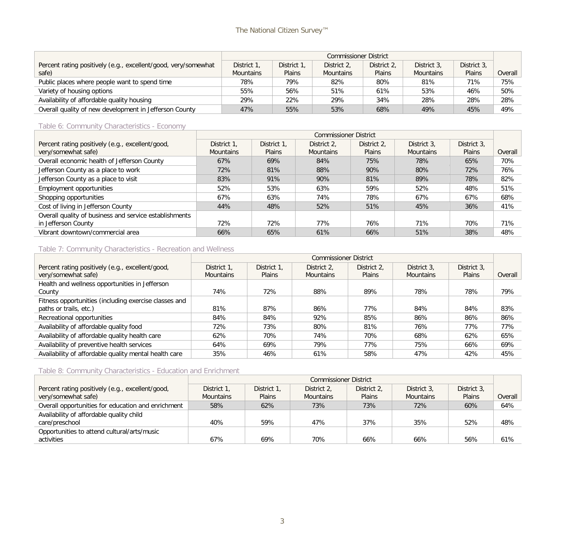|                                                                         | <b>Commissioner District</b>    |                              |                                 |                              |                                 |                       |         |  |  |
|-------------------------------------------------------------------------|---------------------------------|------------------------------|---------------------------------|------------------------------|---------------------------------|-----------------------|---------|--|--|
| Percent rating positively (e.g., excellent/good, very/somewhat<br>safe) | District 1,<br><b>Mountains</b> | District 1.<br><b>Plains</b> | District 2.<br><b>Mountains</b> | District 2.<br><b>Plains</b> | District 3.<br><b>Mountains</b> | District 3.<br>Plains | Overall |  |  |
| Public places where people want to spend time                           | 78%                             | 79%                          | 82%                             | 80%                          | 81%                             | 71%                   | 75%     |  |  |
| Variety of housing options                                              | 55%                             | 56%                          | 51%                             | 61%                          | 53%                             | 46%                   | 50%     |  |  |
| Availability of affordable quality housing                              | 29%                             | 22%                          | 29%                             | 34%                          | 28%                             | 28%                   | 28%     |  |  |
| Overall quality of new development in Jefferson County                  | 47%                             | 55%                          | 53%                             | 68%                          | 49%                             | 45%                   | 49%     |  |  |

# Table 6: Community Characteristics - Economy

|                                                        |                  | <b>Commissioner District</b> |                  |             |                  |               |         |  |  |  |  |  |
|--------------------------------------------------------|------------------|------------------------------|------------------|-------------|------------------|---------------|---------|--|--|--|--|--|
| Percent rating positively (e.g., excellent/good,       | District 1,      | District 1.                  | District 2,      | District 2, | District 3,      | District 3.   |         |  |  |  |  |  |
| very/somewhat safe)                                    | <b>Mountains</b> | Plains                       | <b>Mountains</b> | Plains      | <b>Mountains</b> | <b>Plains</b> | Overall |  |  |  |  |  |
| Overall economic health of Jefferson County            | 67%              | 69%                          | 84%              | 75%         | 78%              | 65%           | 70%     |  |  |  |  |  |
| Jefferson County as a place to work                    | 72%              | 81%                          | 88%              | 90%         | 80%              | 72%           | 76%     |  |  |  |  |  |
| Jefferson County as a place to visit                   | 83%              | 91%                          | 90%              | 81%         | 89%              | 78%           | 82%     |  |  |  |  |  |
| Employment opportunities                               | 52%              | 53%                          | 63%              | 59%         | 52%              | 48%           | 51%     |  |  |  |  |  |
| Shopping opportunities                                 | 67%              | 63%                          | 74%              | 78%         | 67%              | 67%           | 68%     |  |  |  |  |  |
| Cost of living in Jefferson County                     | 44%              | 48%                          | 52%              | 51%         | 45%              | 36%           | 41%     |  |  |  |  |  |
| Overall quality of business and service establishments |                  |                              |                  |             |                  |               |         |  |  |  |  |  |
| in Jefferson County                                    | 72%              | 72%                          | 77%              | 76%         | 71%              | 70%           | 71%     |  |  |  |  |  |
| Vibrant downtown/commercial area                       | 66%              | 65%                          | 61%              | 66%         | 51%              | 38%           | 48%     |  |  |  |  |  |

# Table 7: Community Characteristics - Recreation and Wellness

|                                                       |                  | <b>Commissioner District</b> |                  |               |                  |             |         |  |  |  |  |
|-------------------------------------------------------|------------------|------------------------------|------------------|---------------|------------------|-------------|---------|--|--|--|--|
| Percent rating positively (e.g., excellent/good,      | District 1,      | District 1,                  | District 2.      | District 2.   | District 3.      | District 3. |         |  |  |  |  |
| very/somewhat safe)                                   | <b>Mountains</b> | <b>Plains</b>                | <b>Mountains</b> | <b>Plains</b> | <b>Mountains</b> | Plains      | Overall |  |  |  |  |
| Health and wellness opportunities in Jefferson        |                  |                              |                  |               |                  |             |         |  |  |  |  |
| County                                                | 74%              | 72%                          | 88%              | 89%           | 78%              | 78%         | 79%     |  |  |  |  |
| Fitness opportunities (including exercise classes and |                  |                              |                  |               |                  |             |         |  |  |  |  |
| paths or trails, etc.)                                | 81%              | 87%                          | 86%              | 77%           | 84%              | 84%         | 83%     |  |  |  |  |
| Recreational opportunities                            | 84%              | 84%                          | 92%              | 85%           | 86%              | 86%         | 86%     |  |  |  |  |
| Availability of affordable quality food               | 72%              | 73%                          | 80%              | 81%           | 76%              | 77%         | 77%     |  |  |  |  |
| Availability of affordable quality health care        | 62%              | 70%                          | 74%              | 70%           | 68%              | 62%         | 65%     |  |  |  |  |
| Availability of preventive health services            | 64%              | 69%                          | 79%              | 77%           | 75%              | 66%         | 69%     |  |  |  |  |
| Availability of affordable quality mental health care | 35%              | 46%                          | 61%              | 58%           | 47%              | 42%         | 45%     |  |  |  |  |

# Table 8: Community Characteristics - Education and Enrichment

|                                                    |                  | <b>Commissioner District</b> |                  |               |                  |             |         |  |  |  |
|----------------------------------------------------|------------------|------------------------------|------------------|---------------|------------------|-------------|---------|--|--|--|
| Percent rating positively (e.g., excellent/good,   | District 1.      | District 1,                  | District 2.      | District 2.   | District 3.      | District 3. |         |  |  |  |
| very/somewhat safe)                                | <b>Mountains</b> | <b>Plains</b>                | <b>Mountains</b> | <b>Plains</b> | <b>Mountains</b> | Plains      | Overall |  |  |  |
| Overall opportunities for education and enrichment | 58%              | 62%                          | 73%              | 73%           | 72%              | 60%         | 64%     |  |  |  |
| Availability of affordable quality child           |                  |                              |                  |               |                  |             |         |  |  |  |
| care/preschool                                     | 40%              | 59%                          | 47%              | 37%           | 35%              | 52%         | 48%     |  |  |  |
| Opportunities to attend cultural/arts/music        |                  |                              |                  |               |                  |             |         |  |  |  |
| activities                                         | 67%              | 69%                          | 70%              | 66%           | 66%              | 56%         | 61%     |  |  |  |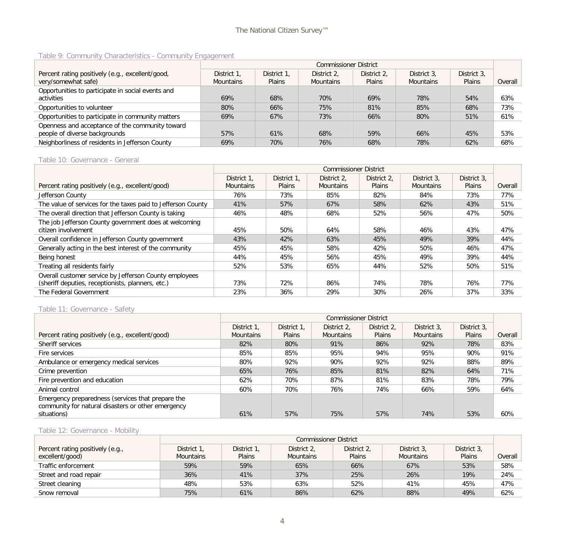## Table 9: Community Characteristics - Community Engagement

|                                                   |                  | <b>Commissioner District</b> |                  |               |                  |               |         |  |  |  |  |  |
|---------------------------------------------------|------------------|------------------------------|------------------|---------------|------------------|---------------|---------|--|--|--|--|--|
| Percent rating positively (e.g., excellent/good,  | District 1.      | District 1.                  | District 2.      | District 2,   | District 3.      | District 3.   |         |  |  |  |  |  |
| very/somewhat safe)                               | <b>Mountains</b> | <b>Plains</b>                | <b>Mountains</b> | <b>Plains</b> | <b>Mountains</b> | <b>Plains</b> | Overall |  |  |  |  |  |
| Opportunities to participate in social events and |                  |                              |                  |               |                  |               |         |  |  |  |  |  |
| activities                                        | 69%              | 68%                          | 70%              | 69%           | 78%              | 54%           | 63%     |  |  |  |  |  |
| Opportunities to volunteer                        | 80%              | 66%                          | 75%              | 81%           | 85%              | 68%           | 73%     |  |  |  |  |  |
| Opportunities to participate in community matters | 69%              | 67%                          | 73%              | 66%           | 80%              | 51%           | 61%     |  |  |  |  |  |
| Openness and acceptance of the community toward   |                  |                              |                  |               |                  |               |         |  |  |  |  |  |
| people of diverse backgrounds                     | 57%              | 61%                          | 68%              | 59%           | 66%              | 45%           | 53%     |  |  |  |  |  |
| Neighborliness of residents in Jefferson County   | 69%              | 70%                          | 76%              | 68%           | 78%              | 62%           | 68%     |  |  |  |  |  |

#### Table 10: Governance - General

|                                                              |                  | <b>Commissioner District</b> |                  |               |                  |             |         |  |  |  |  |
|--------------------------------------------------------------|------------------|------------------------------|------------------|---------------|------------------|-------------|---------|--|--|--|--|
|                                                              | District 1,      | District 1.                  | District 2.      | District 2.   | District 3.      | District 3, |         |  |  |  |  |
| Percent rating positively (e.g., excellent/good)             | <b>Mountains</b> | <b>Plains</b>                | <b>Mountains</b> | <b>Plains</b> | <b>Mountains</b> | Plains      | Overall |  |  |  |  |
| Jefferson County                                             | 76%              | 73%                          | 85%              | 82%           | 84%              | 73%         | 77%     |  |  |  |  |
| The value of services for the taxes paid to Jefferson County | 41%              | 57%                          | 67%              | 58%           | 62%              | 43%         | 51%     |  |  |  |  |
| The overall direction that Jefferson County is taking        | 46%              | 48%                          | 68%              | 52%           | 56%              | 47%         | 50%     |  |  |  |  |
| The job Jefferson County government does at welcoming        |                  |                              |                  |               |                  |             |         |  |  |  |  |
| citizen involvement                                          | 45%              | 50%                          | 64%              | 58%           | 46%              | 43%         | 47%     |  |  |  |  |
| Overall confidence in Jefferson County government            | 43%              | 42%                          | 63%              | 45%           | 49%              | 39%         | 44%     |  |  |  |  |
| Generally acting in the best interest of the community       | 45%              | 45%                          | 58%              | 42%           | 50%              | 46%         | 47%     |  |  |  |  |
| Being honest                                                 | 44%              | 45%                          | 56%              | 45%           | 49%              | 39%         | 44%     |  |  |  |  |
| Treating all residents fairly                                | 52%              | 53%                          | 65%              | 44%           | 52%              | 50%         | 51%     |  |  |  |  |
| Overall customer service by Jefferson County employees       |                  |                              |                  |               |                  |             |         |  |  |  |  |
| (sheriff deputies, receptionists, planners, etc.)            | 73%              | 72%                          | 86%              | 74%           | 78%              | 76%         | 77%     |  |  |  |  |
| The Federal Government                                       | 23%              | 36%                          | 29%              | 30%           | 26%              | 37%         | 33%     |  |  |  |  |

#### Table 11: Governance - Safety

|                                                                                                         |                  | <b>Commissioner District</b> |                  |               |                  |               |         |  |  |  |
|---------------------------------------------------------------------------------------------------------|------------------|------------------------------|------------------|---------------|------------------|---------------|---------|--|--|--|
|                                                                                                         | District 1.      | District 1.                  | District 2.      | District 2.   | District 3.      | District 3.   |         |  |  |  |
| Percent rating positively (e.g., excellent/good)                                                        | <b>Mountains</b> | Plains                       | <b>Mountains</b> | <b>Plains</b> | <b>Mountains</b> | <b>Plains</b> | Overall |  |  |  |
| Sheriff services                                                                                        | 82%              | 80%                          | 91%              | 86%           | 92%              | 78%           | 83%     |  |  |  |
| Fire services                                                                                           | 85%              | 85%                          | 95%              | 94%           | 95%              | 90%           | 91%     |  |  |  |
| Ambulance or emergency medical services                                                                 | 80%              | 92%                          | 90%              | 92%           | 92%              | 88%           | 89%     |  |  |  |
| Crime prevention                                                                                        | 65%              | 76%                          | 85%              | 81%           | 82%              | 64%           | 71%     |  |  |  |
| Fire prevention and education                                                                           | 62%              | 70%                          | 87%              | 81%           | 83%              | 78%           | 79%     |  |  |  |
| Animal control                                                                                          | 60%              | 70%                          | 76%              | 74%           | 66%              | 59%           | 64%     |  |  |  |
| Emergency preparedness (services that prepare the<br>community for natural disasters or other emergency |                  |                              |                  |               |                  |               |         |  |  |  |
| situations)                                                                                             | 61%              | 57%                          | 75%              | 57%           | 74%              | 53%           | 60%     |  |  |  |

# Table 12: Governance - Mobility

|                                  |                  | <b>Commissioner District</b> |                  |               |                  |             |         |  |  |  |
|----------------------------------|------------------|------------------------------|------------------|---------------|------------------|-------------|---------|--|--|--|
| Percent rating positively (e.g., | District 1.      | District 1,                  | District 2.      | District 2.   | District 3,      | District 3. |         |  |  |  |
| excellent/good)                  | <b>Mountains</b> | Plains                       | <b>Mountains</b> | <b>Plains</b> | <b>Mountains</b> | Plains      | Overall |  |  |  |
| Traffic enforcement              | 59%              | 59%                          | 65%              | 66%           | 67%              | 53%         | 58%     |  |  |  |
| Street and road repair           | 36%              | 41%                          | 37%              | 25%           | 26%              | 19%         | 24%     |  |  |  |
| Street cleaning                  | 48%              | 53%                          | 63%              | 52%           | 41%              | 45%         | 47%     |  |  |  |
| Snow removal                     | 75%              | 61%                          | 86%              | 62%           | 88%              | 49%         | 62%     |  |  |  |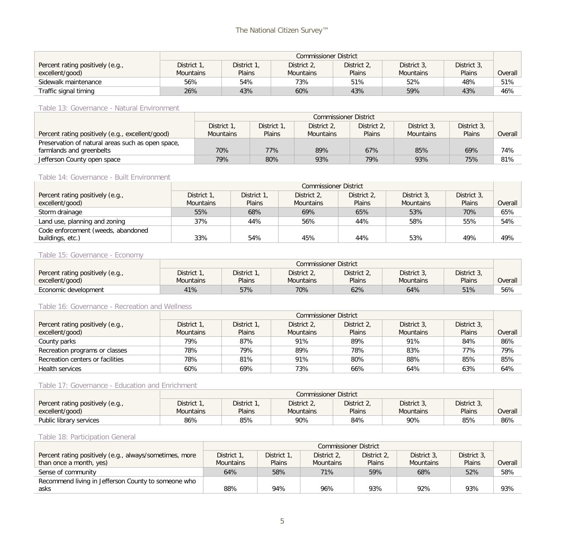|                                                     | <b>Commissioner District</b>    |                       |                                 |                              |                                 |                       |         |  |  |
|-----------------------------------------------------|---------------------------------|-----------------------|---------------------------------|------------------------------|---------------------------------|-----------------------|---------|--|--|
| Percent rating positively (e.g.,<br>excellent/good) | District 1.<br><b>Mountains</b> | District 1,<br>Plains | District 2,<br><b>Mountains</b> | District 2,<br><b>Plains</b> | District 3,<br><b>Mountains</b> | District 3,<br>Plains | Overall |  |  |
| Sidewalk maintenance                                | 56%                             | 54%                   | 73%                             | 51%                          | 52%                             | 48%                   | 51%     |  |  |
| Traffic signal timing                               | 26%                             | 43%                   | 60%                             | 43%                          | 59%                             | 43%                   | 46%     |  |  |

Table 13: Governance - Natural Environment

|                                                   |                  | <b>Commissioner District</b> |                  |               |                  |             |         |  |  |  |
|---------------------------------------------------|------------------|------------------------------|------------------|---------------|------------------|-------------|---------|--|--|--|
|                                                   | District 1,      | District 1,                  | District 2,      | District 2,   | District 3.      | District 3, |         |  |  |  |
| Percent rating positively (e.g., excellent/good)  | <b>Mountains</b> | Plains                       | <b>Mountains</b> | <b>Plains</b> | <b>Mountains</b> | Plains      | Overall |  |  |  |
| Preservation of natural areas such as open space, |                  |                              |                  |               |                  |             |         |  |  |  |
| farmlands and greenbelts                          | 70%              | 77%                          | 89%              | 67%           | 85%              | 69%         | 74%     |  |  |  |
| Jefferson County open space                       | 79%              | 80%                          | 93%              | 79%           | 93%              | 75%         | 81%     |  |  |  |

#### Table 14: Governance - Built Environment

|                                    |                  | <b>Commissioner District</b> |                  |               |                  |             |         |  |  |
|------------------------------------|------------------|------------------------------|------------------|---------------|------------------|-------------|---------|--|--|
| Percent rating positively (e.g.,   | District 1,      | District 1,                  | District 2,      | District 2,   | District 3,      | District 3. |         |  |  |
| excellent/good)                    | <b>Mountains</b> | <b>Plains</b>                | <b>Mountains</b> | <b>Plains</b> | <b>Mountains</b> | Plains      | Overall |  |  |
| Storm drainage                     | 55%              | 68%                          | 69%              | 65%           | 53%              | 70%         | 65%     |  |  |
| Land use, planning and zoning      | 37%              | 44%                          | 56%              | 44%           | 58%              | 55%         | 54%     |  |  |
| Code enforcement (weeds, abandoned |                  |                              |                  |               |                  |             |         |  |  |
| buildings, etc.)                   | 33%              | 54%                          | 45%              | 44%           | 53%              | 49%         | 49%     |  |  |

#### Table 15: Governance - Economy

|                                  | <b>Commissioner District</b>                                                           |               |                  |        |                  |        |         |  |  |
|----------------------------------|----------------------------------------------------------------------------------------|---------------|------------------|--------|------------------|--------|---------|--|--|
| Percent rating positively (e.g., | District 3,<br>District 1.<br>District 1,<br>District 3,<br>District 2,<br>District 2, |               |                  |        |                  |        |         |  |  |
| excellent/good)                  | Mountains                                                                              | <b>Plains</b> | <b>Mountains</b> | Plains | <b>Mountains</b> | Plains | Overall |  |  |
| Economic development             | 41%                                                                                    | 57%           | 70%              | 62%    | 64%              | 51%    | 56%     |  |  |

#### Table 16: Governance - Recreation and Wellness

|                                  |                  | <b>Commissioner District</b> |                  |             |                  |             |         |  |  |  |
|----------------------------------|------------------|------------------------------|------------------|-------------|------------------|-------------|---------|--|--|--|
| Percent rating positively (e.g., | District 1.      | District 1.                  | District 2.      | District 2. | District 3.      | District 3. |         |  |  |  |
| excellent/good)                  | <b>Mountains</b> | Plains                       | <b>Mountains</b> | Plains      | <b>Mountains</b> | Plains      | Overall |  |  |  |
| County parks                     | 79%              | 87%                          | 91%              | 89%         | 91%              | 84%         | 86%     |  |  |  |
| Recreation programs or classes   | 78%              | 79%                          | 89%              | 78%         | 83%              | 77%         | 79%     |  |  |  |
| Recreation centers or facilities | 78%              | 81%                          | 91%              | 80%         | 88%              | 85%         | 85%     |  |  |  |
| <b>Health services</b>           | 60%              | 69%                          | 73%              | 66%         | 64%              | 63%         | 64%     |  |  |  |

# Table 17: Governance - Education and Enrichment

|                                  | <b>Commissioner District</b> |             |                  |               |                  |             |         |  |
|----------------------------------|------------------------------|-------------|------------------|---------------|------------------|-------------|---------|--|
| Percent rating positively (e.g., | District 1,                  | District 1, | District 2,      | District 2,   | District 3,      | District 3, |         |  |
| excellent/good)                  | <b>Mountains</b>             | Plains      | <b>Mountains</b> | <b>Plains</b> | <b>Mountains</b> | Plains      | Overall |  |
| Public library services          | 86%                          | 85%         | 90%              | 84%           | 90%              | 85%         | 86%     |  |

#### Table 18: Participation General

|                                                         |                  | <b>Commissioner District</b> |                  |             |                  |             |         |  |  |  |
|---------------------------------------------------------|------------------|------------------------------|------------------|-------------|------------------|-------------|---------|--|--|--|
| Percent rating positively (e.g., always/sometimes, more | District 1.      | District 1.                  | District 2.      | District 2, | District 3.      | District 3. |         |  |  |  |
| than once a month, yes)                                 | <b>Mountains</b> | <b>Plains</b>                | <b>Mountains</b> | Plains      | <b>Mountains</b> | Plains      | Overall |  |  |  |
| Sense of community                                      | 64%              | 58%                          | 71%              | 59%         | 68%              | 52%         | 58%     |  |  |  |
| Recommend living in Jefferson County to someone who     |                  |                              |                  |             |                  |             |         |  |  |  |
| asks                                                    | 88%              | 94%                          | 96%              | 93%         | 92%              | 93%         | 93%     |  |  |  |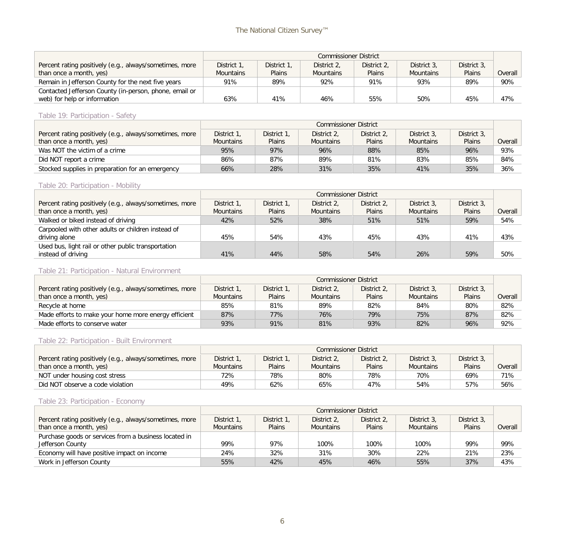|                                                         |                  | <b>Commissioner District</b> |                  |             |                  |             |         |  |  |
|---------------------------------------------------------|------------------|------------------------------|------------------|-------------|------------------|-------------|---------|--|--|
| Percent rating positively (e.g., always/sometimes, more | District 1.      | District 1.                  | District 2.      | District 2, | District 3.      | District 3. |         |  |  |
| than once a month, yes)                                 | <b>Mountains</b> | <b>Plains</b>                | <b>Mountains</b> | Plains      | <b>Mountains</b> | Plains      | Overall |  |  |
| Remain in Jefferson County for the next five years      | 91%              | 89%                          | 92%              | 91%         | 93%              | 89%         | 90%     |  |  |
| Contacted Jefferson County (in-person, phone, email or  |                  |                              |                  |             |                  |             |         |  |  |
| web) for help or information                            | 63%              | 41%                          | 46%              | 55%         | 50%              | 45%         | 47%     |  |  |

## Table 19: Participation - Safety

|                                                         |                  | Commissioner District |                  |               |                  |             |         |  |  |  |
|---------------------------------------------------------|------------------|-----------------------|------------------|---------------|------------------|-------------|---------|--|--|--|
| Percent rating positively (e.g., always/sometimes, more | District 1.      | District 1.           | District 2.      | District 2.   | District 3.      | District 3. |         |  |  |  |
| than once a month, yes)                                 | <b>Mountains</b> | <b>Plains</b>         | <b>Mountains</b> | <b>Plains</b> | <b>Mountains</b> | Plains      | Overall |  |  |  |
| Was NOT the victim of a crime                           | 95%              | 97%                   | 96%              | 88%           | 85%              | 96%         | 93%     |  |  |  |
| Did NOT report a crime                                  | 86%              | 87%                   | 89%              | 81%           | 83%              | 85%         | 84%     |  |  |  |
| Stocked supplies in preparation for an emergency        | 66%              | 28%                   | 31%              | 35%           | 41%              | 35%         | 36%     |  |  |  |

# Table 20: Participation - Mobility

|                                                         |                  | <b>Commissioner District</b> |                  |             |                  |             |         |  |  |  |
|---------------------------------------------------------|------------------|------------------------------|------------------|-------------|------------------|-------------|---------|--|--|--|
| Percent rating positively (e.g., always/sometimes, more | District 1.      | District 1.                  | District 2.      | District 2, | District 3.      | District 3. |         |  |  |  |
| than once a month, yes)                                 | <b>Mountains</b> | <b>Plains</b>                | <b>Mountains</b> | Plains      | <b>Mountains</b> | Plains      | Overall |  |  |  |
| Walked or biked instead of driving                      | 42%              | 52%                          | 38%              | 51%         | 51%              | 59%         | 54%     |  |  |  |
| Carpooled with other adults or children instead of      |                  |                              |                  |             |                  |             |         |  |  |  |
| driving alone                                           | 45%              | 54%                          | 43%              | 45%         | 43%              | 41%         | 43%     |  |  |  |
| Used bus, light rail or other public transportation     |                  |                              |                  |             |                  |             |         |  |  |  |
| instead of driving                                      | 41%              | 44%                          | 58%              | 54%         | 26%              | 59%         | 50%     |  |  |  |

# Table 21: Participation - Natural Environment

|                                                         |                  | <b>Commissioner District</b> |                  |             |                  |             |         |  |  |  |
|---------------------------------------------------------|------------------|------------------------------|------------------|-------------|------------------|-------------|---------|--|--|--|
| Percent rating positively (e.g., always/sometimes, more | District 1.      | District 1.                  | District 2.      | District 2, | District 3.      | District 3. |         |  |  |  |
| than once a month, yes)                                 | <b>Mountains</b> | Plains                       | <b>Mountains</b> | Plains      | <b>Mountains</b> | Plains      | Overall |  |  |  |
| Recycle at home                                         | 85%              | 81%                          | 89%              | 82%         | 84%              | 80%         | 82%     |  |  |  |
| Made efforts to make your home more energy efficient    | 87%              | 77%                          | 76%              | 79%         | 75%              | 87%         | 82%     |  |  |  |
| Made efforts to conserve water                          | 93%              | 91%                          | 81%              | 93%         | 82%              | 96%         | 92%     |  |  |  |

#### Table 22: Participation - Built Environment

|                                                         | <b>Commissioner District</b> |               |                  |               |                  |             |         |  |  |
|---------------------------------------------------------|------------------------------|---------------|------------------|---------------|------------------|-------------|---------|--|--|
| Percent rating positively (e.g., always/sometimes, more | District 1.                  | District 1.   | District 2,      | District 2,   | District 3,      | District 3. |         |  |  |
| than once a month, yes)                                 | <b>Mountains</b>             | <b>Plains</b> | <b>Mountains</b> | <b>Plains</b> | <b>Mountains</b> | Plains      | Overall |  |  |
| NOT under housing cost stress                           | 72%                          | 78%           | 80%              | 78%           | 70%              | 69%         | 71%     |  |  |
| Did NOT observe a code violation                        | 49%                          | 62%           | 65%              | 47%           | 54%              | 57%         | 56%     |  |  |

# Table 23: Participation - Economy

|                                                         | <b>Commissioner District</b> |               |                  |               |                  |             |         |  |  |  |
|---------------------------------------------------------|------------------------------|---------------|------------------|---------------|------------------|-------------|---------|--|--|--|
| Percent rating positively (e.g., always/sometimes, more | District 1,                  | District 1.   | District 2.      | District 2,   | District 3.      | District 3. |         |  |  |  |
| than once a month, yes)                                 | <b>Mountains</b>             | <b>Plains</b> | <b>Mountains</b> | <b>Plains</b> | <b>Mountains</b> | Plains      | Overall |  |  |  |
| Purchase goods or services from a business located in   |                              |               |                  |               |                  |             |         |  |  |  |
| Jefferson County                                        | 99%                          | 97%           | 100%             | 100%          | 100%             | 99%         | 99%     |  |  |  |
| Economy will have positive impact on income             | 24%                          | 32%           | 31%              | 30%           | 22%              | 21%         | 23%     |  |  |  |
| Work in Jefferson County                                | 55%                          | 42%           | 45%              | 46%           | 55%              | 37%         | 43%     |  |  |  |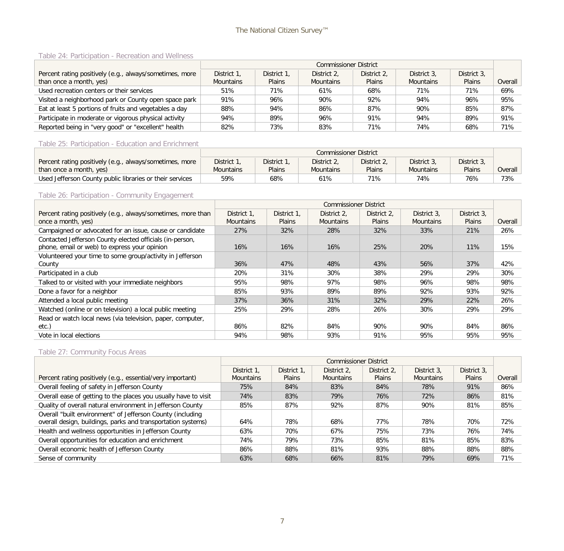# The National Citizen Survey™

#### Table 24: Participation - Recreation and Wellness

|                                                         | <b>Commissioner District</b> |               |                  |             |                  |             |         |  |  |  |
|---------------------------------------------------------|------------------------------|---------------|------------------|-------------|------------------|-------------|---------|--|--|--|
| Percent rating positively (e.g., always/sometimes, more | District 1.                  | District 1.   | District 2.      | District 2, | District 3.      | District 3. |         |  |  |  |
| than once a month, yes)                                 | <b>Mountains</b>             | <b>Plains</b> | <b>Mountains</b> | Plains      | <b>Mountains</b> | Plains      | Overall |  |  |  |
| Used recreation centers or their services               | 51%                          | 71%           | 61%              | 68%         | 71%              | 71%         | 69%     |  |  |  |
| Visited a neighborhood park or County open space park   | 91%                          | 96%           | 90%              | 92%         | 94%              | 96%         | 95%     |  |  |  |
| Eat at least 5 portions of fruits and vegetables a day  | 88%                          | 94%           | 86%              | 87%         | 90%              | 85%         | 87%     |  |  |  |
| Participate in moderate or vigorous physical activity   | 94%                          | 89%           | 96%              | 91%         | 94%              | 89%         | 91%     |  |  |  |
| Reported being in "very good" or "excellent" health     | 82%                          | 73%           | 83%              | 71%         | 74%              | 68%         | 71%     |  |  |  |

#### Table 25: Participation - Education and Enrichment

|                                                          |                  | <b>Commissioner District</b> |                  |             |                  |               |         |  |  |  |
|----------------------------------------------------------|------------------|------------------------------|------------------|-------------|------------------|---------------|---------|--|--|--|
| Percent rating positively (e.g., always/sometimes, more  | District 1.      | District 1.                  | District 2.      | District 2. | District 3.      | District 3.   |         |  |  |  |
| than once a month, yes)                                  | <b>Mountains</b> | Plains                       | <b>Mountains</b> | Plains      | <b>Mountains</b> | <b>Plains</b> | Overall |  |  |  |
| Used Jefferson County public libraries or their services | 59%              | 68%                          | 61%              | 71%         | 74%              | 76%           | 73%     |  |  |  |

# Table 26: Participation - Community Engagement

|                                                              |                  |               | <b>Commissioner District</b> |               |                  |               |         |
|--------------------------------------------------------------|------------------|---------------|------------------------------|---------------|------------------|---------------|---------|
| Percent rating positively (e.g., always/sometimes, more than | District 1.      | District 1.   | District 2.                  | District 2.   | District 3.      | District 3.   |         |
| once a month, yes)                                           | <b>Mountains</b> | <b>Plains</b> | <b>Mountains</b>             | <b>Plains</b> | <b>Mountains</b> | <b>Plains</b> | Overall |
| Campaigned or advocated for an issue, cause or candidate     | 27%              | 32%           | 28%                          | 32%           | 33%              | 21%           | 26%     |
| Contacted Jefferson County elected officials (in-person,     |                  |               |                              |               |                  |               |         |
| phone, email or web) to express your opinion                 | 16%              | 16%           | 16%                          | 25%           | 20%              | 11%           | 15%     |
| Volunteered your time to some group/activity in Jefferson    |                  |               |                              |               |                  |               |         |
| County                                                       | 36%              | 47%           | 48%                          | 43%           | 56%              | 37%           | 42%     |
| Participated in a club                                       | 20%              | 31%           | 30%                          | 38%           | 29%              | 29%           | 30%     |
| Talked to or visited with your immediate neighbors           | 95%              | 98%           | 97%                          | 98%           | 96%              | 98%           | 98%     |
| Done a favor for a neighbor                                  | 85%              | 93%           | 89%                          | 89%           | 92%              | 93%           | 92%     |
| Attended a local public meeting                              | 37%              | 36%           | 31%                          | 32%           | 29%              | 22%           | 26%     |
| Watched (online or on television) a local public meeting     | 25%              | 29%           | 28%                          | 26%           | 30%              | 29%           | 29%     |
| Read or watch local news (via television, paper, computer,   |                  |               |                              |               |                  |               |         |
| etc.)                                                        | 86%              | 82%           | 84%                          | 90%           | 90%              | 84%           | 86%     |
| Vote in local elections                                      | 94%              | 98%           | 93%                          | 91%           | 95%              | 95%           | 95%     |

#### Table 27: Community Focus Areas

|                                                                                                                            |                  |             | <b>Commissioner District</b> |               |                  |               |         |
|----------------------------------------------------------------------------------------------------------------------------|------------------|-------------|------------------------------|---------------|------------------|---------------|---------|
|                                                                                                                            | District 1,      | District 1. | District 2.                  | District 2.   | District 3.      | District 3.   |         |
| Percent rating positively (e.g., essential/very important)                                                                 | <b>Mountains</b> | Plains      | <b>Mountains</b>             | <b>Plains</b> | <b>Mountains</b> | <b>Plains</b> | Overall |
| Overall feeling of safety in Jefferson County                                                                              | 75%              | 84%         | 83%                          | 84%           | 78%              | 91%           | 86%     |
| Overall ease of getting to the places you usually have to visit                                                            | 74%              | 83%         | 79%                          | 76%           | 72%              | 86%           | 81%     |
| Quality of overall natural environment in Jefferson County                                                                 | 85%              | 87%         | 92%                          | 87%           | 90%              | 81%           | 85%     |
| Overall "built environment" of Jefferson County (including<br>overall design, buildings, parks and transportation systems) | 64%              | 78%         | 68%                          | 77%           | 78%              | 70%           | 72%     |
| Health and wellness opportunities in Jefferson County                                                                      | 63%              | 70%         | 67%                          | 75%           | 73%              | 76%           | 74%     |
| Overall opportunities for education and enrichment                                                                         | 74%              | 79%         | 73%                          | 85%           | 81%              | 85%           | 83%     |
| Overall economic health of Jefferson County                                                                                | 86%              | 88%         | 81%                          | 93%           | 88%              | 88%           | 88%     |
| Sense of community                                                                                                         | 63%              | 68%         | 66%                          | 81%           | 79%              | 69%           | 71%     |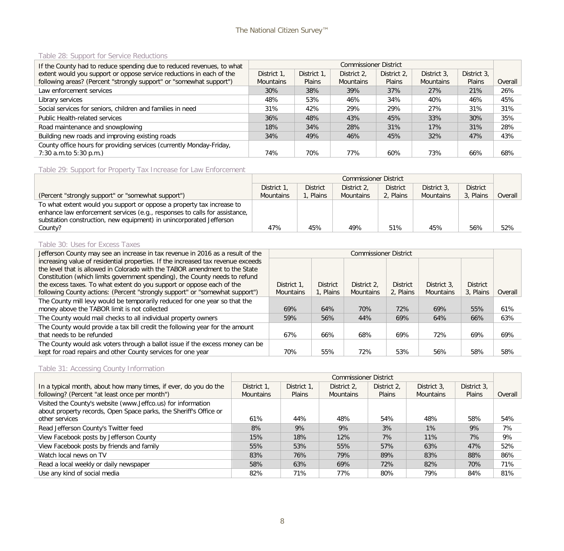#### Table 28: Support for Service Reductions

| If the County had to reduce spending due to reduced revenues, to what |                  |               | <b>Commissioner District</b> |             |                  |             |         |
|-----------------------------------------------------------------------|------------------|---------------|------------------------------|-------------|------------------|-------------|---------|
| extent would you support or oppose service reductions in each of the  | District 1,      | District 1.   | District 2.                  | District 2. | District 3.      | District 3. |         |
| following areas? (Percent "strongly support" or "somewhat support")   | <b>Mountains</b> | <b>Plains</b> | <b>Mountains</b>             | Plains      | <b>Mountains</b> | Plains      | Overall |
| Law enforcement services                                              | 30%              | 38%           | 39%                          | 37%         | 27%              | 21%         | 26%     |
| Library services                                                      | 48%              | 53%           | 46%                          | 34%         | 40%              | 46%         | 45%     |
| Social services for seniors, children and families in need            | 31%              | 42%           | 29%                          | 29%         | 27%              | 31%         | 31%     |
| Public Health-related services                                        | 36%              | 48%           | 43%                          | 45%         | 33%              | 30%         | 35%     |
| Road maintenance and snowplowing                                      | 18%              | 34%           | 28%                          | 31%         | 17%              | 31%         | 28%     |
| Building new roads and improving existing roads                       | 34%              | 49%           | 46%                          | 45%         | 32%              | 47%         | 43%     |
| County office hours for providing services (currently Monday-Friday,  |                  |               |                              |             |                  |             |         |
| $7:30$ a.m.to $5:30$ p.m.)                                            | 74%              | 70%           | 77%                          | 60%         | 73%              | 66%         | 68%     |

# Table 29: Support for Property Tax Increase for Law Enforcement

|                                                                                                                                                                                                                            | <b>Commissioner District</b> |                 |                  |                 |                  |                 |         |
|----------------------------------------------------------------------------------------------------------------------------------------------------------------------------------------------------------------------------|------------------------------|-----------------|------------------|-----------------|------------------|-----------------|---------|
|                                                                                                                                                                                                                            | District 1                   | <b>District</b> | District 2.      | <b>District</b> | District 3.      | <b>District</b> |         |
| (Percent "strongly support" or "somewhat support")                                                                                                                                                                         | <b>Mountains</b>             | . Plains        | <b>Mountains</b> | 2, Plains       | <b>Mountains</b> | 3, Plains       | Overall |
| To what extent would you support or oppose a property tax increase to<br>enhance law enforcement services (e.g., responses to calls for assistance,<br>substation construction, new equipment) in unincorporated Jefferson |                              |                 |                  |                 |                  |                 |         |
| County?                                                                                                                                                                                                                    | 47%                          | 45%             | 49%              | 51%             | 45%              | 56%             | 52%     |

#### Table 30: Uses for Excess Taxes

| Jefferson County may see an increase in tax revenue in 2016 as a result of the   | <b>Commissioner District</b> |                 |                  |                 |                  |                 |         |
|----------------------------------------------------------------------------------|------------------------------|-----------------|------------------|-----------------|------------------|-----------------|---------|
| increasing value of residential properties. If the increased tax revenue exceeds |                              |                 |                  |                 |                  |                 |         |
| the level that is allowed in Colorado with the TABOR amendment to the State      |                              |                 |                  |                 |                  |                 |         |
| Constitution (which limits government spending), the County needs to refund      |                              |                 |                  |                 |                  |                 |         |
| the excess taxes. To what extent do you support or oppose each of the            | District 1.                  | <b>District</b> | District 2.      | <b>District</b> | District 3.      | <b>District</b> |         |
| following County actions: (Percent "strongly support" or "somewhat support")     | <b>Mountains</b>             | 1, Plains       | <b>Mountains</b> | 2, Plains       | <b>Mountains</b> | 3, Plains       | Overall |
| The County mill levy would be temporarily reduced for one year so that the       |                              |                 |                  |                 |                  |                 |         |
| money above the TABOR limit is not collected                                     | 69%                          | 64%             | 70%              | 72%             | 69%              | 55%             | 61%     |
| The County would mail checks to all individual property owners                   | 59%                          | 56%             | 44%              | 69%             | 64%              | 66%             | 63%     |
| The County would provide a tax bill credit the following year for the amount     |                              |                 |                  |                 |                  |                 |         |
| that needs to be refunded                                                        | 67%                          | 66%             | 68%              | 69%             | 72%              | 69%             | 69%     |
| The County would ask voters through a ballot issue if the excess money can be    |                              |                 |                  |                 |                  |                 |         |
| kept for road repairs and other County services for one year                     | 70%                          | 55%             | 72%              | 53%             | 56%              | 58%             | 58%     |

# Table 31: Accessing County Information

|                                                                   | <b>Commissioner District</b> |             |                  |               |                  |             |         |  |  |  |
|-------------------------------------------------------------------|------------------------------|-------------|------------------|---------------|------------------|-------------|---------|--|--|--|
| In a typical month, about how many times, if ever, do you do the  | District 1.                  | District 1. | District 2.      | District 2,   | District 3.      | District 3. |         |  |  |  |
| following? (Percent "at least once per month")                    | <b>Mountains</b>             | Plains      | <b>Mountains</b> | <b>Plains</b> | <b>Mountains</b> | Plains      | Overall |  |  |  |
| Visited the County's website (www.Jeffco.us) for information      |                              |             |                  |               |                  |             |         |  |  |  |
| about property records, Open Space parks, the Sheriff's Office or |                              |             |                  |               |                  |             |         |  |  |  |
| other services                                                    | 61%                          | 44%         | 48%              | 54%           | 48%              | 58%         | 54%     |  |  |  |
| Read Jefferson County's Twitter feed                              | 8%                           | 9%          | 9%               | 3%            | $1\%$            | 9%          | 7%      |  |  |  |
| View Facebook posts by Jefferson County                           | 15%                          | 18%         | 12%              | 7%            | 11%              | 7%          | 9%      |  |  |  |
| View Facebook posts by friends and family                         | 55%                          | 53%         | 55%              | 57%           | 63%              | 47%         | 52%     |  |  |  |
| Watch local news on TV                                            | 83%                          | 76%         | 79%              | 89%           | 83%              | 88%         | 86%     |  |  |  |
| Read a local weekly or daily newspaper                            | 58%                          | 63%         | 69%              | 72%           | 82%              | 70%         | 71%     |  |  |  |
| Use any kind of social media                                      | 82%                          | 71%         | 77%              | 80%           | 79%              | 84%         | 81%     |  |  |  |